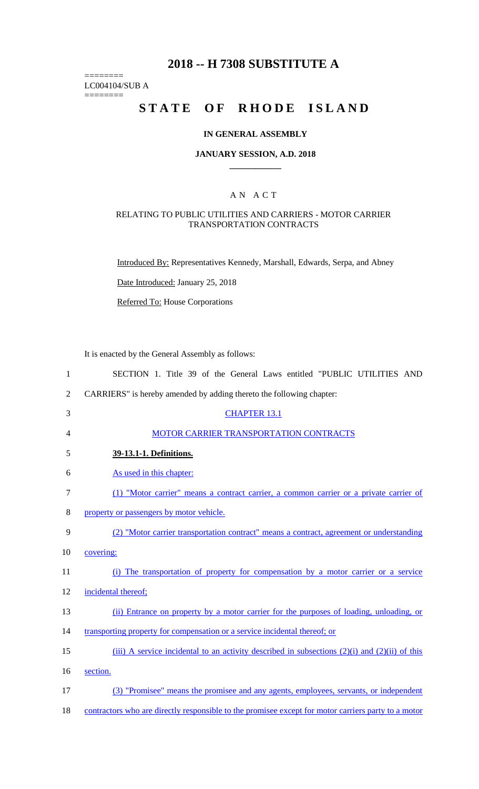## **2018 -- H 7308 SUBSTITUTE A**

LC004104/SUB A ========

========

# **STATE OF RHODE ISLAND**

## **IN GENERAL ASSEMBLY**

#### **JANUARY SESSION, A.D. 2018 \_\_\_\_\_\_\_\_\_\_\_\_**

### A N A C T

#### RELATING TO PUBLIC UTILITIES AND CARRIERS - MOTOR CARRIER TRANSPORTATION CONTRACTS

Introduced By: Representatives Kennedy, Marshall, Edwards, Serpa, and Abney

Date Introduced: January 25, 2018

Referred To: House Corporations

It is enacted by the General Assembly as follows:

| 1              | SECTION 1. Title 39 of the General Laws entitled "PUBLIC UTILITIES AND                              |
|----------------|-----------------------------------------------------------------------------------------------------|
| $\overline{2}$ | CARRIERS" is hereby amended by adding thereto the following chapter:                                |
| 3              | <b>CHAPTER 13.1</b>                                                                                 |
| 4              | MOTOR CARRIER TRANSPORTATION CONTRACTS                                                              |
| 5              | 39-13.1-1. Definitions.                                                                             |
| 6              | As used in this chapter:                                                                            |
| $\tau$         | (1) "Motor carrier" means a contract carrier, a common carrier or a private carrier of              |
| 8              | property or passengers by motor vehicle.                                                            |
| 9              | (2) "Motor carrier transportation contract" means a contract, agreement or understanding            |
| 10             | covering:                                                                                           |
| 11             | (i) The transportation of property for compensation by a motor carrier or a service                 |
| 12             | incidental thereof;                                                                                 |
| 13             | (ii) Entrance on property by a motor carrier for the purposes of loading, unloading, or             |
| 14             | transporting property for compensation or a service incidental thereof; or                          |
| 15             | (iii) A service incidental to an activity described in subsections $(2)(i)$ and $(2)(ii)$ of this   |
| 16             | section.                                                                                            |
| 17             | (3) "Promisee" means the promisee and any agents, employees, servants, or independent               |
| 18             | contractors who are directly responsible to the promisee except for motor carriers party to a motor |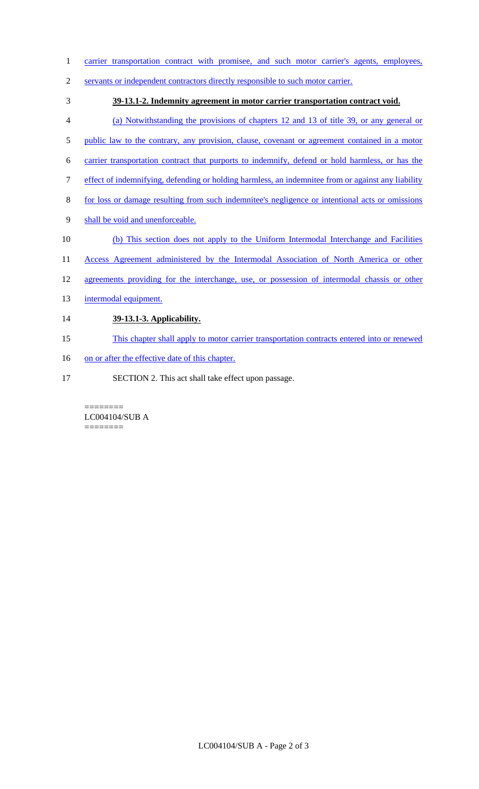- 1 carrier transportation contract with promisee, and such motor carrier's agents, employees,
- 2 servants or independent contractors directly responsible to such motor carrier.
- 3 **39-13.1-2. Indemnity agreement in motor carrier transportation contract void.**
- 4 (a) Notwithstanding the provisions of chapters 12 and 13 of title 39, or any general or
- 5 public law to the contrary, any provision, clause, covenant or agreement contained in a motor
- 6 carrier transportation contract that purports to indemnify, defend or hold harmless, or has the
- 7 effect of indemnifying, defending or holding harmless, an indemnitee from or against any liability
- 8 for loss or damage resulting from such indemnitee's negligence or intentional acts or omissions
- 9 shall be void and unenforceable.
- 10 (b) This section does not apply to the Uniform Intermodal Interchange and Facilities
- 11 Access Agreement administered by the Intermodal Association of North America or other
- 12 agreements providing for the interchange, use, or possession of intermodal chassis or other
- 13 intermodal equipment.

## 14 **39-13.1-3. Applicability.**

- 15 This chapter shall apply to motor carrier transportation contracts entered into or renewed
- 16 on or after the effective date of this chapter.
- 17 SECTION 2. This act shall take effect upon passage.

======== LC004104/SUB A ========